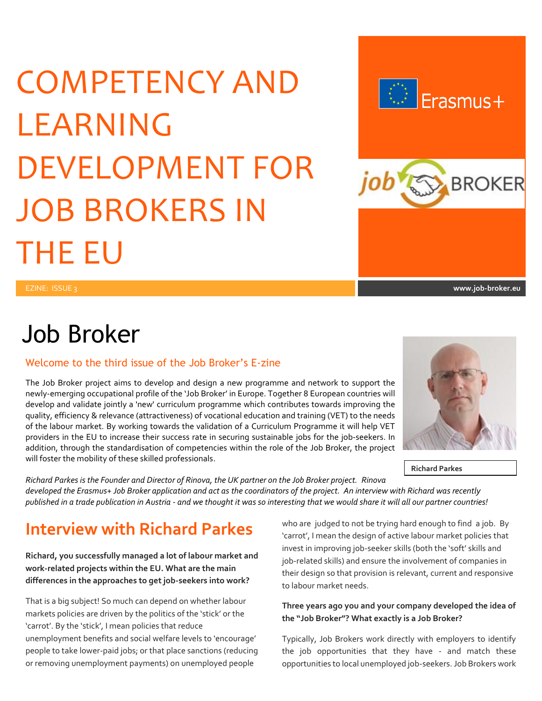# COMPETENCY AND LEARNING DEVELOPMENT FOR JOB BROKERS IN THE EU



## Job Broker

#### Welcome to the third issue of the Job Broker's E-zine

The Job Broker project aims to develop and design a new programme and network to support the newly-emerging occupational profile of the 'Job Broker' in Europe. Together 8 European countries will develop and validate jointly a 'new' curriculum programme which contributes towards improving the quality, efficiency & relevance (attractiveness) of vocational education and training (VET) to the needs of the labour market. By working towards the validation of a Curriculum Programme it will help VET providers in the EU to increase their success rate in securing sustainable jobs for the job-seekers. In addition, through the standardisation of competencies within the role of the Job Broker, the project will foster the mobility of these skilled professionals.

**Richard Parkes**

*Richard Parkes is the Founder and Director of Rinova, the UK partner on the Job Broker project. Rinova developed the Erasmus+ Job Broker application and act as the coordinators of the project. An interview with Richard was recently published in a trade publication in Austria - and we thought it was so interesting that we would share it will all our partner countries!*

## **Interview with Richard Parkes**

#### **Richard, you successfully managed a lot of labour market and work-related projects within the EU. What are the main differences in the approaches to get job-seekers into work?**

That is a big subject! So much can depend on whether labour markets policies are driven by the politics of the 'stick' or the 'carrot'. By the 'stick', I mean policies that reduce unemployment benefits and social welfare levels to 'encourage' people to take lower-paid jobs; or that place sanctions (reducing or removing unemployment payments) on unemployed people

who are judged to not be trying hard enough to find a job. By 'carrot', I mean the design of active labour market policies that invest in improving job-seeker skills (both the 'soft' skills and job-related skills) and ensure the involvement of companies in their design so that provision is relevant, current and responsive to labour market needs.

#### **Three years ago you and your company developed the idea of the "Job Broker"? What exactly is a Job Broker?**

Typically, Job Brokers work directly with employers to identify the job opportunities that they have - and match these opportunities to local unemployed job-seekers. Job Brokers work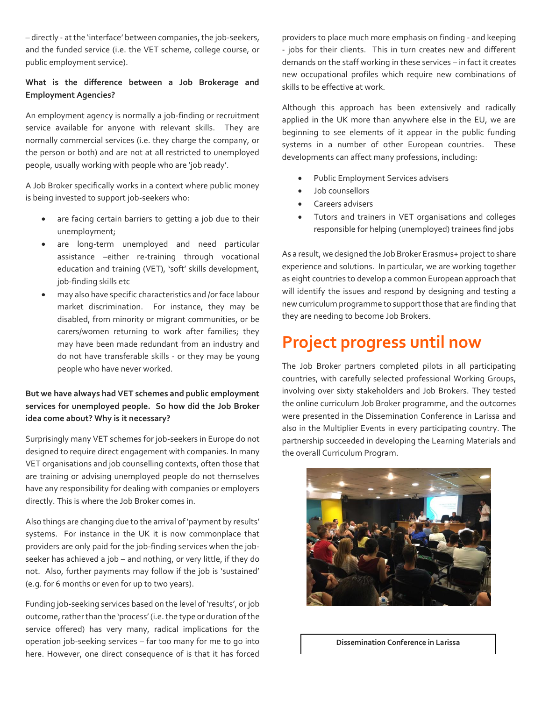– directly - at the 'interface' between companies, the job-seekers, and the funded service (i.e. the VET scheme, college course, or public employment service).

#### **What is the difference between a Job Brokerage and Employment Agencies?**

An employment agency is normally a job-finding or recruitment service available for anyone with relevant skills. They are normally commercial services (i.e. they charge the company, or the person or both) and are not at all restricted to unemployed people, usually working with people who are 'job ready'.

A Job Broker specifically works in a context where public money is being invested to support job-seekers who:

- are facing certain barriers to getting a job due to their unemployment;
- are long-term unemployed and need particular assistance –either re-training through vocational education and training (VET), 'soft' skills development, job-finding skills etc
- may also have specific characteristics and /or face labour market discrimination. For instance, they may be disabled, from minority or migrant communities, or be carers/women returning to work after families; they may have been made redundant from an industry and do not have transferable skills - or they may be young people who have never worked.

#### **But we have always had VET schemes and public employment services for unemployed people. So how did the Job Broker idea come about? Why is it necessary?**

Surprisingly many VET schemes for job-seekers in Europe do not designed to require direct engagement with companies. In many VET organisations and job counselling contexts, often those that are training or advising unemployed people do not themselves have any responsibility for dealing with companies or employers directly. This is where the Job Broker comes in.

Also things are changing due to the arrival of 'payment by results' systems. For instance in the UK it is now commonplace that providers are only paid for the job-finding services when the jobseeker has achieved a job – and nothing, or very little, if they do not. Also, further payments may follow if the job is 'sustained' (e.g. for 6 months or even for up to two years).

Funding job-seeking services based on the level of 'results', or job outcome, rather than the 'process' (i.e.the type or duration of the service offered) has very many, radical implications for the operation job-seeking services – far too many for me to go into here. However, one direct consequence of is that it has forced providers to place much more emphasis on finding - and keeping - jobs for their clients. This in turn creates new and different demands on the staff working in these services – in fact it creates new occupational profiles which require new combinations of skills to be effective at work.

Although this approach has been extensively and radically applied in the UK more than anywhere else in the EU, we are beginning to see elements of it appear in the public funding systems in a number of other European countries. These developments can affect many professions, including:

- Public Employment Services advisers
- Job counsellors
- Careers advisers
- Tutors and trainers in VET organisations and colleges responsible for helping (unemployed) trainees find jobs

As a result, we designed the Job Broker Erasmus+ project to share experience and solutions. In particular, we are working together as eight countries to develop a common European approach that will identify the issues and respond by designing and testing a new curriculum programme to support those that are finding that they are needing to become Job Brokers.

## **Project progress until now**

The Job Broker partners completed pilots in all participating countries, with carefully selected professional Working Groups, involving over sixty stakeholders and Job Brokers. They tested the online curriculum Job Broker programme, and the outcomes were presented in the Dissemination Conference in Larissa and also in the Multiplier Events in every participating country. The partnership succeeded in developing the Learning Materials and the overall Curriculum Program.



**Dissemination Conference in Larissa**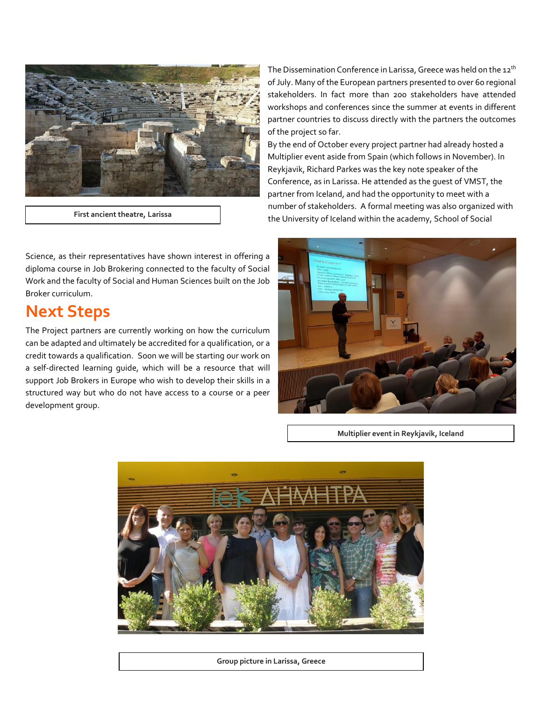

**First ancient theatre, Larissa**

Science, as their representatives have shown interest in offering a diploma course in Job Brokering connected to the faculty of Social Work and the faculty of Social and Human Sciences built on the Job Broker curriculum.

## **Next Steps**

The Project partners are currently working on how the curriculum can be adapted and ultimately be accredited for a qualification, or a credit towards a qualification. Soon we will be starting our work on a self-directed learning guide, which will be a resource that will support Job Brokers in Europe who wish to develop their skills in a structured way but who do not have access to a course or a peer development group.

The Dissemination Conference in Larissa, Greece was held on the 12<sup>th</sup> of July. Many of the European partners presented to over 60 regional stakeholders. In fact more than 200 stakeholders have attended workshops and conferences since the summer at events in different partner countries to discuss directly with the partners the outcomes of the project so far.

By the end of October every project partner had already hosted a Multiplier event aside from Spain (which follows in November). In Reykjavik, Richard Parkes was the key note speaker of the Conference, as in Larissa. He attended as the guest of VMST, the partner from Iceland, and had the opportunity to meet with a number of stakeholders. A formal meeting was also organized with the University of Iceland within the academy, School of Social



**Multiplier event in Reykjavík, Iceland**



**Group picture in Larissa, Greece**